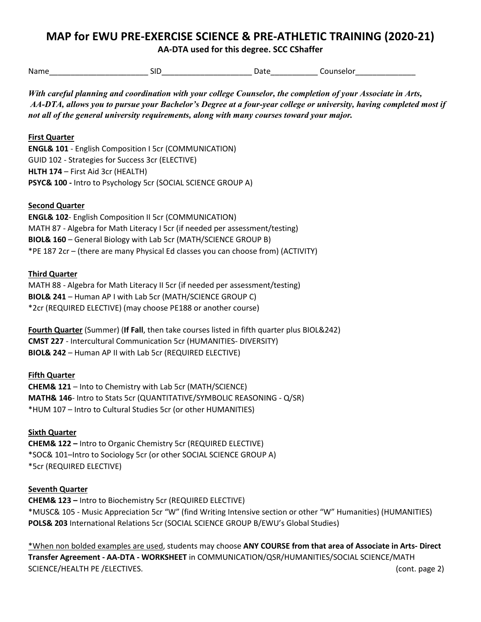# **MAP for EWU PRE-EXERCISE SCIENCE & PRE-ATHLETIC TRAINING (2020-21)**

**AA-DTA used for this degree. SCC CShaffer**

| Name   | . | .<br>. . | --      |
|--------|---|----------|---------|
| ______ |   |          | - - - - |

*With careful planning and coordination with your college Counselor, the completion of your Associate in Arts, AA-DTA, allows you to pursue your Bachelor's Degree at a four-year college or university, having completed most if not all of the general university requirements, along with many courses toward your major.* 

## **First Quarter**

**ENGL& 101** - English Composition I 5cr (COMMUNICATION) GUID 102 - Strategies for Success 3cr (ELECTIVE) **HLTH 174** – First Aid 3cr (HEALTH) **PSYC& 100 -** Intro to Psychology 5cr (SOCIAL SCIENCE GROUP A)

### **Second Quarter**

**ENGL& 102**- English Composition II 5cr (COMMUNICATION) MATH 87 - Algebra for Math Literacy I 5cr (if needed per assessment/testing) **BIOL& 160** – General Biology with Lab 5cr (MATH/SCIENCE GROUP B) \*PE 187 2cr – (there are many Physical Ed classes you can choose from) (ACTIVITY)

### **Third Quarter**

MATH 88 - Algebra for Math Literacy II 5cr (if needed per assessment/testing) **BIOL& 241** – Human AP I with Lab 5cr (MATH/SCIENCE GROUP C) \*2cr (REQUIRED ELECTIVE) (may choose PE188 or another course)

**Fourth Quarter** (Summer) (**If Fall**, then take courses listed in fifth quarter plus BIOL&242) **CMST 227** - Intercultural Communication 5cr (HUMANITIES- DIVERSITY) **BIOL& 242** – Human AP II with Lab 5cr (REQUIRED ELECTIVE)

### **Fifth Quarter**

**CHEM& 121** – Into to Chemistry with Lab 5cr (MATH/SCIENCE) **MATH& 146**- Intro to Stats 5cr (QUANTITATIVE/SYMBOLIC REASONING - Q/SR) \*HUM 107 – Intro to Cultural Studies 5cr (or other HUMANITIES)

### **Sixth Quarter**

**CHEM& 122 –** Intro to Organic Chemistry 5cr (REQUIRED ELECTIVE) \*SOC& 101–Intro to Sociology 5cr (or other SOCIAL SCIENCE GROUP A) \*5cr (REQUIRED ELECTIVE)

### **Seventh Quarter**

**CHEM& 123 –** Intro to Biochemistry 5cr (REQUIRED ELECTIVE) \*MUSC& 105 - Music Appreciation 5cr "W" (find Writing Intensive section or other "W" Humanities) (HUMANITIES) **POLS& 203** International Relations 5cr (SOCIAL SCIENCE GROUP B/EWU's Global Studies)

\*When non bolded examples are used, students may choose **ANY COURSE from that area of Associate in Arts- Direct Transfer Agreement - AA-DTA - WORKSHEET** in COMMUNICATION/QSR/HUMANITIES/SOCIAL SCIENCE/MATH SCIENCE/HEALTH PE /ELECTIVES. (cont. page 2)